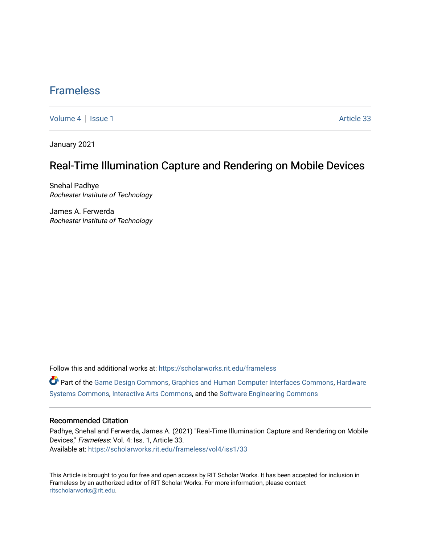## [Frameless](https://scholarworks.rit.edu/frameless)

[Volume 4](https://scholarworks.rit.edu/frameless/vol4) | [Issue 1](https://scholarworks.rit.edu/frameless/vol4/iss1) Article 33

January 2021

## Real-Time Illumination Capture and Rendering on Mobile Devices

Snehal Padhye Rochester Institute of Technology

James A. Ferwerda Rochester Institute of Technology

Follow this and additional works at: [https://scholarworks.rit.edu/frameless](https://scholarworks.rit.edu/frameless?utm_source=scholarworks.rit.edu%2Fframeless%2Fvol4%2Fiss1%2F33&utm_medium=PDF&utm_campaign=PDFCoverPages)

Part of the [Game Design Commons](https://network.bepress.com/hgg/discipline/1133?utm_source=scholarworks.rit.edu%2Fframeless%2Fvol4%2Fiss1%2F33&utm_medium=PDF&utm_campaign=PDFCoverPages), [Graphics and Human Computer Interfaces Commons](https://network.bepress.com/hgg/discipline/146?utm_source=scholarworks.rit.edu%2Fframeless%2Fvol4%2Fiss1%2F33&utm_medium=PDF&utm_campaign=PDFCoverPages), [Hardware](https://network.bepress.com/hgg/discipline/263?utm_source=scholarworks.rit.edu%2Fframeless%2Fvol4%2Fiss1%2F33&utm_medium=PDF&utm_campaign=PDFCoverPages)  [Systems Commons,](https://network.bepress.com/hgg/discipline/263?utm_source=scholarworks.rit.edu%2Fframeless%2Fvol4%2Fiss1%2F33&utm_medium=PDF&utm_campaign=PDFCoverPages) [Interactive Arts Commons](https://network.bepress.com/hgg/discipline/1136?utm_source=scholarworks.rit.edu%2Fframeless%2Fvol4%2Fiss1%2F33&utm_medium=PDF&utm_campaign=PDFCoverPages), and the [Software Engineering Commons](https://network.bepress.com/hgg/discipline/150?utm_source=scholarworks.rit.edu%2Fframeless%2Fvol4%2Fiss1%2F33&utm_medium=PDF&utm_campaign=PDFCoverPages) 

#### Recommended Citation

Padhye, Snehal and Ferwerda, James A. (2021) "Real-Time Illumination Capture and Rendering on Mobile Devices," Frameless: Vol. 4: Iss. 1, Article 33. Available at: [https://scholarworks.rit.edu/frameless/vol4/iss1/33](https://scholarworks.rit.edu/frameless/vol4/iss1/33?utm_source=scholarworks.rit.edu%2Fframeless%2Fvol4%2Fiss1%2F33&utm_medium=PDF&utm_campaign=PDFCoverPages) 

This Article is brought to you for free and open access by RIT Scholar Works. It has been accepted for inclusion in Frameless by an authorized editor of RIT Scholar Works. For more information, please contact [ritscholarworks@rit.edu](mailto:ritscholarworks@rit.edu).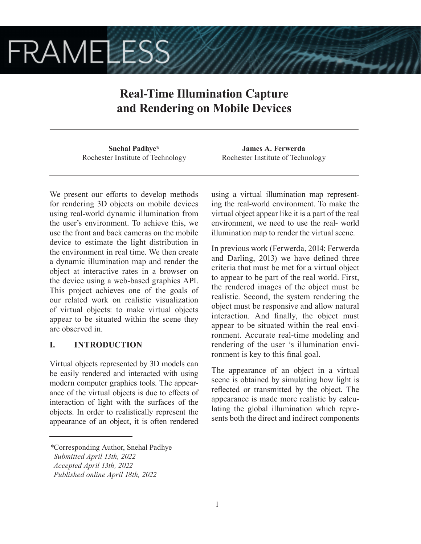# **FRAMELESS**

# **Real-Time Illumination Capture and Rendering on Mobile Devices**

**Snehal Padhye\*** Rochester Institute of Technology

We present our efforts to develop methods for rendering 3D objects on mobile devices using real-world dynamic illumination from the user's environment. To achieve this, we use the front and back cameras on the mobile device to estimate the light distribution in the environment in real time. We then create a dynamic illumination map and render the object at interactive rates in a browser on the device using a web-based graphics API. This project achieves one of the goals of our related work on realistic visualization of virtual objects: to make virtual objects appear to be situated within the scene they are observed in.

## **I. INTRODUCTION**

Virtual objects represented by 3D models can be easily rendered and interacted with using modern computer graphics tools. The appearance of the virtual objects is due to effects of interaction of light with the surfaces of the objects. In order to realistically represent the appearance of an object, it is often rendered

*\**Corresponding Author, Snehal Padhye

**James A. Ferwerda** Rochester Institute of Technology

using a virtual illumination map representing the real-world environment. To make the virtual object appear like it is a part of the real environment, we need to use the real- world illumination map to render the virtual scene.

In previous work (Ferwerda, 2014; Ferwerda and Darling, 2013) we have defined three criteria that must be met for a virtual object to appear to be part of the real world. First, the rendered images of the object must be realistic. Second, the system rendering the object must be responsive and allow natural interaction. And finally, the object must appear to be situated within the real environment. Accurate real-time modeling and rendering of the user 's illumination environment is key to this final goal.

The appearance of an object in a virtual scene is obtained by simulating how light is reflected or transmitted by the object. The appearance is made more realistic by calculating the global illumination which represents both the direct and indirect components

*Submitted April 13th, 2022*

*Accepted April 13th, 2022*

*Published online April 18th, 2022*